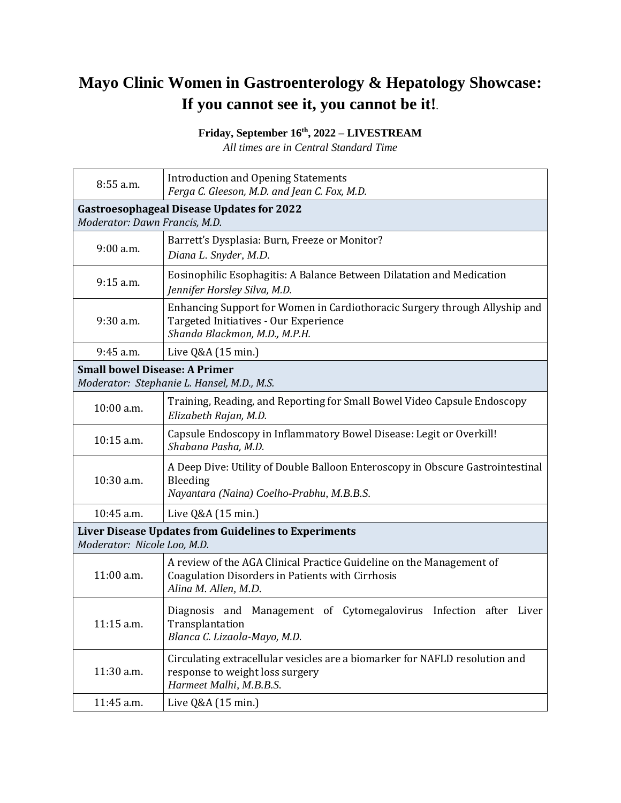## **Mayo Clinic Women in Gastroenterology & Hepatology Showcase: If you cannot see it, you cannot be it!***.*

**Friday, September 16th, 2022 – LIVESTREAM**

*All times are in Central Standard Time* 

| 8:55 a.m.                                                                           | <b>Introduction and Opening Statements</b><br>Ferga C. Gleeson, M.D. and Jean C. Fox, M.D.                                                           |  |
|-------------------------------------------------------------------------------------|------------------------------------------------------------------------------------------------------------------------------------------------------|--|
| <b>Gastroesophageal Disease Updates for 2022</b><br>Moderator: Dawn Francis, M.D.   |                                                                                                                                                      |  |
| 9:00 a.m.                                                                           | Barrett's Dysplasia: Burn, Freeze or Monitor?<br>Diana L. Snyder, M.D.                                                                               |  |
| 9:15 a.m.                                                                           | Eosinophilic Esophagitis: A Balance Between Dilatation and Medication<br>Jennifer Horsley Silva, M.D.                                                |  |
| 9:30 a.m.                                                                           | Enhancing Support for Women in Cardiothoracic Surgery through Allyship and<br>Targeted Initiatives - Our Experience<br>Shanda Blackmon, M.D., M.P.H. |  |
| 9:45 a.m.                                                                           | Live Q&A (15 min.)                                                                                                                                   |  |
| <b>Small bowel Disease: A Primer</b><br>Moderator: Stephanie L. Hansel, M.D., M.S.  |                                                                                                                                                      |  |
| 10:00 a.m.                                                                          | Training, Reading, and Reporting for Small Bowel Video Capsule Endoscopy<br>Elizabeth Rajan, M.D.                                                    |  |
| 10:15 a.m.                                                                          | Capsule Endoscopy in Inflammatory Bowel Disease: Legit or Overkill!<br>Shabana Pasha, M.D.                                                           |  |
| 10:30 a.m.                                                                          | A Deep Dive: Utility of Double Balloon Enteroscopy in Obscure Gastrointestinal<br>Bleeding<br>Nayantara (Naina) Coelho-Prabhu, M.B.B.S.              |  |
| 10:45 a.m.                                                                          | Live Q&A (15 min.)                                                                                                                                   |  |
| Liver Disease Updates from Guidelines to Experiments<br>Moderator: Nicole Loo, M.D. |                                                                                                                                                      |  |
| 11:00 a.m.                                                                          | A review of the AGA Clinical Practice Guideline on the Management of<br>Coagulation Disorders in Patients with Cirrhosis<br>Alina M. Allen, M.D.     |  |
| 11:15 a.m.                                                                          | Diagnosis and Management of Cytomegalovirus Infection after Liver<br>Transplantation<br>Blanca C. Lizaola-Mayo, M.D.                                 |  |
| 11:30 a.m.                                                                          | Circulating extracellular vesicles are a biomarker for NAFLD resolution and<br>response to weight loss surgery<br>Harmeet Malhi, M.B.B.S.            |  |
| 11:45 a.m.                                                                          | Live Q&A (15 min.)                                                                                                                                   |  |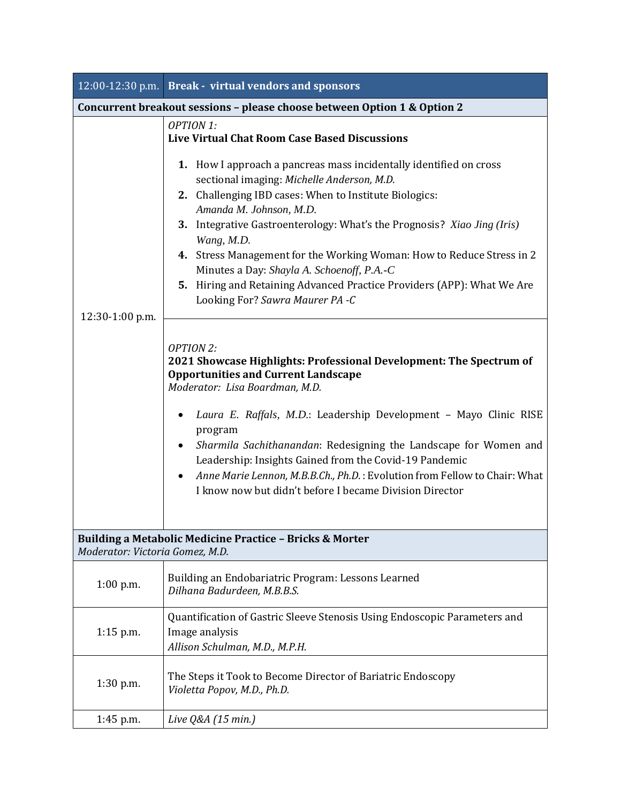|                                                                                             | 12:00-12:30 p.m. Break - virtual vendors and sponsors                                                                                                                                                                                                                                                                                                                                                                                                                                                                                                                                                                 |  |
|---------------------------------------------------------------------------------------------|-----------------------------------------------------------------------------------------------------------------------------------------------------------------------------------------------------------------------------------------------------------------------------------------------------------------------------------------------------------------------------------------------------------------------------------------------------------------------------------------------------------------------------------------------------------------------------------------------------------------------|--|
| Concurrent breakout sessions - please choose between Option 1 & Option 2                    |                                                                                                                                                                                                                                                                                                                                                                                                                                                                                                                                                                                                                       |  |
| 12:30-1:00 p.m.                                                                             | <b>OPTION 1:</b><br><b>Live Virtual Chat Room Case Based Discussions</b><br><b>1.</b> How I approach a pancreas mass incidentally identified on cross<br>sectional imaging: Michelle Anderson, M.D.<br>2. Challenging IBD cases: When to Institute Biologics:<br>Amanda M. Johnson, M.D.<br>3. Integrative Gastroenterology: What's the Prognosis? Xiao Jing (Iris)<br>Wang, M.D.<br>4. Stress Management for the Working Woman: How to Reduce Stress in 2<br>Minutes a Day: Shayla A. Schoenoff, P.A.-C<br>5. Hiring and Retaining Advanced Practice Providers (APP): What We Are<br>Looking For? Sawra Maurer PA -C |  |
|                                                                                             | <b>OPTION 2:</b><br>2021 Showcase Highlights: Professional Development: The Spectrum of<br><b>Opportunities and Current Landscape</b><br>Moderator: Lisa Boardman, M.D.<br>Laura E. Raffals, M.D.: Leadership Development - Mayo Clinic RISE<br>program<br>Sharmila Sachithanandan: Redesigning the Landscape for Women and<br>Leadership: Insights Gained from the Covid-19 Pandemic<br>Anne Marie Lennon, M.B.B.Ch., Ph.D.: Evolution from Fellow to Chair: What<br>٠<br>I know now but didn't before I became Division Director                                                                                    |  |
| Building a Metabolic Medicine Practice - Bricks & Morter<br>Moderator: Victoria Gomez, M.D. |                                                                                                                                                                                                                                                                                                                                                                                                                                                                                                                                                                                                                       |  |
| $1:00$ p.m.                                                                                 | Building an Endobariatric Program: Lessons Learned<br>Dilhana Badurdeen, M.B.B.S.                                                                                                                                                                                                                                                                                                                                                                                                                                                                                                                                     |  |
| $1:15$ p.m.                                                                                 | Quantification of Gastric Sleeve Stenosis Using Endoscopic Parameters and<br>Image analysis<br>Allison Schulman, M.D., M.P.H.                                                                                                                                                                                                                                                                                                                                                                                                                                                                                         |  |
| $1:30$ p.m.                                                                                 | The Steps it Took to Become Director of Bariatric Endoscopy<br>Violetta Popov, M.D., Ph.D.                                                                                                                                                                                                                                                                                                                                                                                                                                                                                                                            |  |
| 1:45 p.m.                                                                                   | Live Q&A (15 min.)                                                                                                                                                                                                                                                                                                                                                                                                                                                                                                                                                                                                    |  |